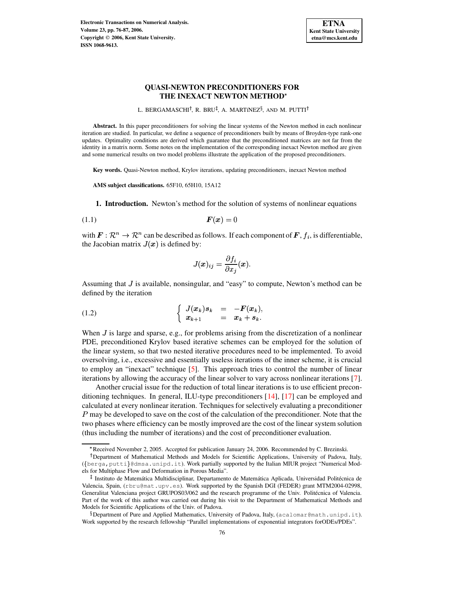**Electronic Transactions on Numerical Analysis. Volume 23, pp. 76-87, 2006. Copyright 2006, Kent State University. ISSN 1068-9613.**



# **QUASI-NEWTON PRECONDITIONERS FOR THE INEXACT NEWTON METHOD**

L. BERGAMASCHI<sup>†</sup>, R. BRU<sup>‡</sup>, A. MARTíNEZ<sup>§</sup>, AND M. PUTTI<sup>†</sup>

**Abstract.** In this paper preconditioners for solving the linear systems of the Newton method in each nonlinear iteration are studied. In particular, we define a sequence of preconditioners built by means of Broyden-type rank-one updates. Optimality conditions are derived which guarantee that the preconditioned matrices are not far from the identity in a matrix norm. Some notes on the implementation of the corresponding inexact Newton method are given and some numerical results on two model problems illustrate the application of the proposed preconditioners.

**Key words.** Quasi-Newton method, Krylov iterations, updating preconditioners, inexact Newton method

**AMS subject classifications.** 65F10, 65H10, 15A12

**1. Introduction.** Newton's method for the solution of systems of nonlinear equations

$$
F(x) = 0
$$

with  $\mathbf{F} : \mathbb{R}^n \to \mathbb{R}^n$  can be described as follows. If each component of  $\mathbf{F}$ ,  $f_i$ , is differentiable, the Jacobian matrix  $J(x)$  is defined by:

<span id="page-0-1"></span>
$$
J(\boldsymbol{x})_{ij} = \frac{\partial f_i}{\partial x_j}(\boldsymbol{x}).
$$

<span id="page-0-0"></span>Assuming that  $J$  is available, nonsingular, and "easy" to compute, Newton's method can be defined by the iteration

$$
\begin{cases}\nJ(x_k)s_k = -F(x_k), \\
x_{k+1} = x_k + s_k.\n\end{cases}
$$

When  $J$  is large and sparse, e.g., for problems arising from the discretization of a nonlinear PDE, preconditioned Krylov based iterative schemes can be employed for the solution of the linear system, so that two nested iterative procedures need to be implemented. To avoid oversolving, i.e., excessive and essentially useless iterations of the inner scheme, it is crucial to employ an "inexact" technique [\[5\]](#page-11-0). This approach tries to control the number of linear iterations by allowing the accuracy of the linear solver to vary across nonlinear iterations [\[7\]](#page-11-1).

Another crucial issue for the reduction of total linear iterations is to use efficient preconditioning techniques. In general, ILU-type preconditioners [\[14\]](#page-11-2), [\[17\]](#page-11-3) can be employed and calculated at every nonlinear iteration. Techniques for selectively evaluating a preconditioner  $P$  may be developed to save on the cost of the calculation of the preconditioner. Note that the two phases where efficiency can be mostly improved are the cost of the linear system solution (thus including the number of iterations) and the cost of preconditioner evaluation.

<sup>9</sup> Received November 2, 2005. Accepted for publication January 24, 2006. Recommended by C. Brezinski.

<sup>&</sup>lt;sup>†</sup> Department of Mathematical Methods and Models for Scientific Applications, University of Padova, Italy, ({berga, putti}@dmsa.unipd.it). Work partially supported by the Italian MIUR project "Numerical Models for Multiphase Flow and Deformation in Porous Media".

<sup>&</sup>lt;sup>‡</sup> Instituto de Matemática Multidisciplinar, Departamento de Matemática Aplicada, Universidad Politécnica de Valencia, Spain, (rbru@mat.upv.es). Work supported by the Spanish DGI (FEDER) grant MTM2004-02998, Generalitat Valenciana project GRUPOS03/062 and the research programme of the Univ. Politécnica of Valencia. Part of the work of this author was carried out during his visit to the Department of Mathematical Methods and Models for Scientific Applications of the Univ. of Padova.

 $\delta$  Department of Pure and Applied Mathematics, University of Padova, Italy, (acalomar@math.unipd.it). Work supported by the research fellowship "Parallel implementations of exponential integrators forODEs/PDEs".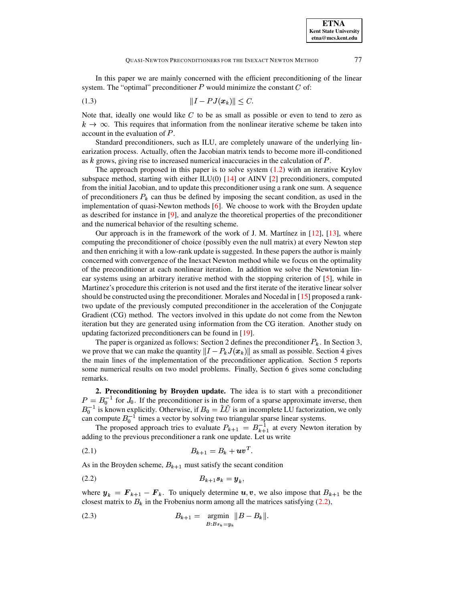In this paper we are mainly concerned with the efficient preconditioning of the linear system. The "optimal" preconditioner  $P$  would minimize the constant  $C$  of:

(1.3) =/>?, <sup>8</sup> @&' A=BC<D#

Note that, ideally one would like  $C$  to be as small as possible or even to tend to zero as  $k \to \infty$ . This requires that information from the nonlinear iterative scheme be taken into account in the evaluation of  $P$ .

Standard preconditioners, such as ILU, are completely unaware of the underlying linearization process. Actually, often the Jacobian matrix tends to become more ill-conditioned as  $k$  grows, giving rise to increased numerical inaccuracies in the calculation of  $P$ .

The approach proposed in this paper is to solve system  $(1.2)$  with an iterative Krylov subspace method, starting with either ILU(0) [\[14\]](#page-11-2) or AINV [\[2\]](#page-11-4) preconditioners, computed from the initial Jacobian, and to update this preconditioner using a rank one sum. A sequence of preconditioners  $P_k$  can thus be defined by imposing the secant condition, as used in the implementation of quasi-Newton methods  $[6]$ . We choose to work with the Broyden update as described for instance in [\[9\]](#page-11-6), and analyze the theoretical properties of the preconditioner and the numerical behavior of the resulting scheme.

Our approach is in the framework of the work of J. M. Martínez in  $[12]$ ,  $[13]$ , where computing the preconditioner of choice (possibly even the null matrix) at every Newton step and then enriching it with a low-rank update is suggested. In these papers the author is mainly concerned with convergence of the Inexact Newton method while we focus on the optimality of the preconditioner at each nonlinear iteration. In addition we solve the Newtonian linear systems using an arbitrary iterative method with the stopping criterion of [\[5\]](#page-11-0), while in Martinez's procedure this criterion is not used and the first iterate of the iterative linear solver should be constructed using the preconditioner. Morales and Nocedal in [\[15\]](#page-11-9) proposed a ranktwo update of the previously computed preconditioner in the acceleration of the Conjugate Gradient (CG) method. The vectors involved in this update do not come from the Newton iteration but they are generated using information from the CG iteration. Another study on updating factorized preconditioners can be found in [\[19\]](#page-11-10).

The paper is organized as follows: Section 2 defines the preconditioner  $P_k$ . In Section 3, we prove that we can make the quantity  $||I - P_k J(x_k)||$  as small as possible. Section 4 gives the main lines of the implementation of the preconditioner application. Section 5 reports some numerical results on two model problems. Finally, Section 6 gives some concluding remarks.

**2. Preconditioning by Broyden update.** The idea is to start with a preconditioner  $P = B_0^{-1}$  for  $J_0$ . If the preconditioner is in the form of a sparse approximate inverse, then  $B_0^{-1}$  is known explicitly. Otherwise, if  $B_0 = LU$  is an incomplete LU factorization, we only can compute  $B_0^{-1}$  times a vector by solving two triangular sparse linear systems.

<span id="page-1-1"></span>The proposed approach tries to evaluate  $P_{k+1} = B_{k+1}^{-1}$  at every Newton iteration by adding to the previous preconditioner a rank one update. Let us write

(2.1) 
$$
B_{k+1} = B_k + uv^T.
$$

<span id="page-1-0"></span>As in the Broyden scheme,  $B_{k+1}$  must satisfy the secant condition

$$
(2.2) \t\t B_{k+1}s_k = \mathbf{y}_k,
$$

where  $\mathbf{y}_k = \mathbf{F}_{k+1} - \mathbf{F}_k$ . To uniquely determine  $\mathbf{u}, \mathbf{v}$ , we also impose that  $B_{k+1}$  be the closest matrix to  $B_k$  in the Frobenius norm among all the matrices satisfying [\(2.2\)](#page-1-0),

<span id="page-1-2"></span>(2.3) 
$$
B_{k+1} = \operatorname*{argmin}_{B:B_{s_k} = y_k} \|B - B_k\|.
$$

<span id="page-1-3"></span>**ETNA Kent State University etna@mcs.kent.edu**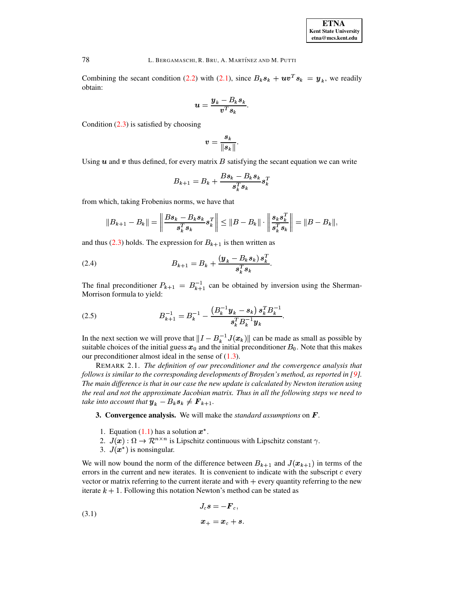

Combining the secant condition [\(2.2\)](#page-1-0) with [\(2.1\)](#page-1-1), since  $B_k s_k + uv^T s_k = y_k$ , we readily obtain:

$$
\boldsymbol{u} = \frac{\boldsymbol{y}_k - B_k \boldsymbol{s}_k}{\boldsymbol{v}^T \boldsymbol{s}_k}.
$$

Condition  $(2.3)$  is satisfied by choosing

$$
v=\frac{s_k}{\|s_k\|}.
$$

Using  $\boldsymbol{u}$  and  $\boldsymbol{v}$  thus defined, for every matrix  $\boldsymbol{B}$  satisfying the secant equation we can write

<span id="page-2-0"></span>
$$
B_{k+1} = B_k + \frac{Bs_k - B_ks_k}{s_k^Ts_k}s_k^T
$$

from which, taking Frobenius norms, we have that

$$
||B_{k+1}-B_k|| = \left\|\frac{Bs_k-B_ks_k}{s_k^Ts_k}s_k^T\right\| \leq ||B-B_k|| \cdot \left\|\frac{s_ks_k^T}{s_k^Ts_k}\right\| = ||B-B_k||,
$$

and thus [\(2.3\)](#page-1-2) holds. The expression for  $B_{k+1}$  is then written as

(2.4) 
$$
B_{k+1} = B_k + \frac{(y_k - B_k s_k) s_k^T}{s_k^T s_k}.
$$

<span id="page-2-1"></span>The final preconditioner  $P_{k+1} = B_{k+1}^{-1}$  can be obtained by inversion using the Sherman-Morrison formula to yield:

(2.5) 
$$
B_{k+1}^{-1} = B_k^{-1} - \frac{\left(B_k^{-1}y_k - s_k\right)s_k^T B_k^{-1}}{s_k^T B_k^{-1} y_k}.
$$

In the next section we will prove that  $||I - B_k^{-1} J(x_k)||$  can be made as small as possible by suitable choices of the initial guess  $x_0$  and the initial preconditioner  $B_0$ . Note that this makes our preconditioner almost ideal in the sense of [\(1.3\)](#page-1-3).

REMARK 2.1. *The definition of our preconditioner and the convergence analysis that follows is similar to the corresponding developments of Broyden's method, as reported in [\[9\]](#page-11-6). The main difference is that in our case the new update is calculated by Newton iteration using the real and not the approximate Jacobian matrix. Thus in all the following steps we need to take into account that*  $\boldsymbol{y}_k - B_k \boldsymbol{s}_k \neq \boldsymbol{F}_{k+1}$ *.* 

**3. Convergence analysis.** We will make the *standard assumptions* on .

- 1. Equation  $(1.1)$  has a solution  $x^*$ .
- 2.  $J(x): \Omega \to \mathcal{R}^{n \times n}$  is Lipschitz continuous with Lipschitz constant  $\gamma$ .
- 3.  $J(x^*)$  is nonsingular.

We will now bound the norm of the difference between  $B_{k+1}$  and  $J(x_{k+1})$  in terms of the errors in the current and new iterates. It is convenient to indicate with the subscript  $c$  every vector or matrix referring to the current iterate and with  $+$  every quantity referring to the new iterate  $k + 1$ . Following this notation Newton's method can be stated as

(3.1) 
$$
J_c s = -\boldsymbol{F}_c,
$$

$$
\boldsymbol{x}_+ = \boldsymbol{x}_c + \boldsymbol{s}.
$$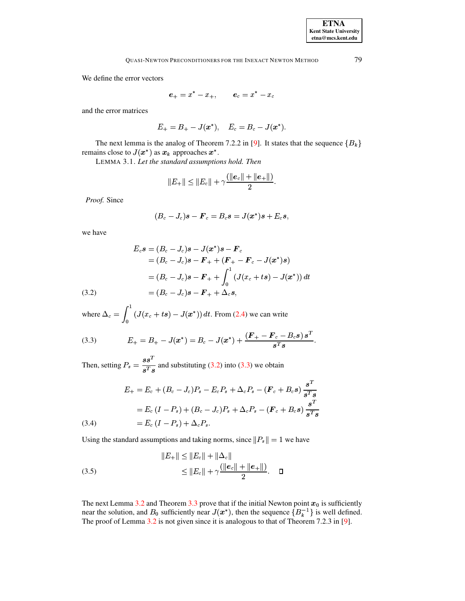We define the error vectors

$$
\boldsymbol{e}_+=x^*-x_+,\qquad \boldsymbol{e}_c=x^*-x_c
$$

and the error matrices

$$
E_+=B_+-J(\pmb{x}^*),\quad E_c=B_c-J(\pmb{x}^*).
$$

The next lemma is the analog of Theorem 7.2.2 in [\[9\]](#page-11-6). It states that the sequence  ${B_k}$ remains close to  $J(x^*)$  as  $x_k$  approaches  $x^*$ .

LEMMA 3.1. *Let the standard assumptions hold. Then*

$$
|E_{+}|| \leq ||E_{c}|| + \gamma \frac{(||e_c|| + ||e_+||)}{2}.
$$

*Proof.* Since

<span id="page-3-1"></span>
$$
(B_c - J_c)\boldsymbol{s} - \boldsymbol{F}_c = B_c \boldsymbol{s} = J(\boldsymbol{x}^*)\boldsymbol{s} + E_c \boldsymbol{s},
$$

we have

<span id="page-3-0"></span>(3.2)  
\n
$$
E_c \mathbf{s} = (B_c - J_c) \mathbf{s} - J(\mathbf{x}^*) \mathbf{s} - \mathbf{F}_c
$$
\n
$$
= (B_c - J_c) \mathbf{s} - \mathbf{F}_+ + (\mathbf{F}_+ - \mathbf{F}_c - J(\mathbf{x}^*) \mathbf{s})
$$
\n
$$
= (B_c - J_c) \mathbf{s} - \mathbf{F}_+ + \int_0^1 (J(x_c + ts) - J(\mathbf{x}^*)) dt
$$
\n
$$
= (B_c - J_c) \mathbf{s} - \mathbf{F}_+ + \Delta_c \mathbf{s},
$$

where  $\Delta_c = \int_0^1 (J(x_c + ts) - J(s))$  $J(x_c + ts) - J(x^*)) dt$ . From [\(2.4\)](#page-2-0) we can write

(3.3) 
$$
E_{+} = B_{+} - J(x^{*}) = B_{c} - J(x^{*}) + \frac{(F_{+} - F_{c} - B_{c}s) s^{T}}{s^{T}s}.
$$

Then, setting  $P_s = \frac{3\varepsilon}{T}$  and substitu  $\frac{35}{s^T s}$  and substituting [\(3.2\)](#page-3-0) into [\(3.3\)](#page-3-1) we obtain

<span id="page-3-3"></span>(3.4)  
\n
$$
E_{+} = E_{c} + (B_{c} - J_{c})P_{s} - E_{c}P_{s} + \Delta_{c}P_{s} - (\mathbf{F}_{c} + B_{c}s) \frac{s^{T}}{s^{T}s}
$$
\n
$$
= E_{c} (I - P_{s}) + (B_{c} - J_{c})P_{s} + \Delta_{c}P_{s} - (\mathbf{F}_{c} + B_{c}s) \frac{s^{T}}{s^{T}s}
$$
\n
$$
= E_{c} (I - P_{s}) + \Delta_{c}P_{s}.
$$

Using the standard assumptions and taking norms, since  $||P_s|| = 1$  we have<br> $||E_{\perp}|| < ||E_{\perp}|| + ||\Delta_s||$ 

(3.5) 
$$
||E_{+}|| \le ||E_{c}|| + ||\Delta_{c}||
$$

$$
\le ||E_{c}|| + \gamma \frac{(||e_{c}|| + ||e_{+}||)}{2}.
$$

<span id="page-3-2"></span>The next Lemma [3.2](#page-3-2) and Theorem [3.3](#page-4-0) prove that if the initial Newton point  $x_0$  is sufficiently near the solution, and  $B_0$  sufficiently near  $J(x^*)$ , then the sequence  $\{B_k^{-1}\}\$ is well defined. The proof of Lemma [3.2](#page-3-2) is not given since it is analogous to that of Theorem 7.2.3 in [\[9\]](#page-11-6).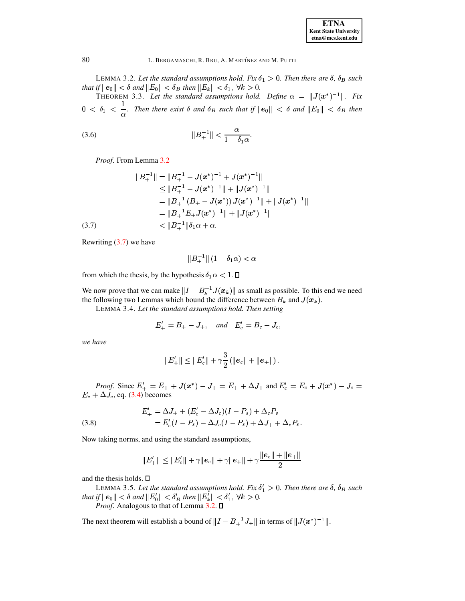| <b>ETNA</b>                  |
|------------------------------|
| <b>Kent State University</b> |
| etna@mcs.kent.edu            |

LEMMA 3.2. Let the standard assumptions hold. Fix  $\delta_1 > 0$ . Then there are  $\delta$ ,  $\delta_B$  such that if  $||e_0|| < \delta$  and  $||E_0|| < \delta_B$  then  $||E_k|| < \delta_1$ ,  $\forall k > 0$ .<br>THEOREM 3.3. Let the standard assumptions hold. Define  $\alpha = ||J(x^*)^{-1}||$ . Fix

 $0 < \delta_1 < \frac{1}{\alpha}$ . Then there exist  $\delta$  and  $\delta_B$  such that if  $||e_0|| < \delta$  and  $||E_0|| < \delta_B$  then

<span id="page-4-0"></span>(3.6) 
$$
||B_+^{-1}|| < \frac{\alpha}{1 - \delta_1 \alpha}.
$$

Proof. From Lemma 3.2

<span id="page-4-1"></span>
$$
||B_{+}^{-1}|| = ||B_{+}^{-1} - J(x^{*})^{-1} + J(x^{*})^{-1}||
$$
  
\n
$$
\leq ||B_{+}^{-1} - J(x^{*})^{-1}|| + ||J(x^{*})^{-1}||
$$
  
\n
$$
= ||B_{+}^{-1} (B_{+} - J(x^{*})) J(x^{*})^{-1}|| + ||J(x^{*})^{-1}||
$$
  
\n
$$
= ||B_{+}^{-1} E_{+} J(x^{*})^{-1}|| + ||J(x^{*})^{-1}||
$$
  
\n(3.7)  
\n
$$
< ||B_{+}^{-1}|| \delta_{1} \alpha + \alpha.
$$

Rewriting  $(3.7)$  we have

$$
\|B_+^{-1}\| \left(1 - \delta_1 \alpha\right) < \alpha
$$

from which the thesis, by the hypothesis  $\delta_1 \alpha < 1$ .  $\Box$ 

We now prove that we can make  $||I - B_k^{-1}J(x_k)||$  as small as possible. To this end we need the following two Lemmas which bound the difference between  $B_k$  and  $J(x_k)$ . LEMMA 3.4. Let the standard assumptions hold. Then setting

$$
E'_{+} = B_{+} - J_{+}
$$
, and  $E'_{c} = B_{c} - J_{c}$ ,

we have

$$
||E_+'|| \leq ||E_c'|| + \gamma \frac{3}{2} (||e_c|| + ||e_+||).
$$

*Proof.* Since  $E'_+ = E_+ + J(x^*) - J_+ = E_+ + \Delta J_+$  and  $E'_c = E_c + J(x^*) - J_c =$  $E_c + \Delta J_c$ , eq. (3.4) becomes

(3.8) 
$$
E'_{+} = \Delta J_{+} + (E'_{c} - \Delta J_{c})(I - P_{s}) + \Delta_{c}P_{s}
$$

$$
= E'_{c}(I - P_{s}) - \Delta J_{c}(I - P_{s}) + \Delta J_{+} + \Delta_{c}P_{s}
$$

Now taking norms, and using the standard assumptions,

<span id="page-4-3"></span>
$$
||E'_{+}|| \le ||E'_{c}|| + \gamma ||e_{c}|| + \gamma ||e_{+}|| + \gamma \frac{||e_{c}|| + ||e_{+}||}{2}
$$

<span id="page-4-2"></span>and the thesis holds.  $\square$ 

LEMMA 3.5. Let the standard assumptions hold. Fix  $\delta_1' > 0$ . Then there are  $\delta$ ,  $\delta_B$  such that if  $||e_0|| < \delta$  and  $||E'_0|| < \delta'_B$  then  $||E'_k|| < \delta'_1$ ,  $\forall k > 0$ . *Proof.* Analogous to that of Lemma 3.2.  $\Box$ 

The next theorem will establish a bound of  $||I - B_+^{-1}J_+||$  in terms of  $||J(\mathbf{x}^*)^{-1}||$ .

80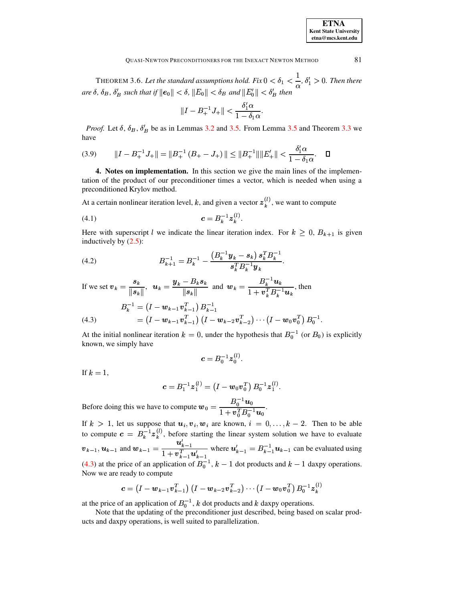| <b>ETNA</b>                  |
|------------------------------|
| <b>Kent State University</b> |
| etna@mcs.kent.edu            |

THEOREM 3.6. Let the standard assumptions hold. Fix  $0 < \delta_1 < \frac{1}{\alpha}$ ,  $\delta'_1 > 0$ . Then there are  $\delta$ ,  $\delta_B$ ,  $\delta'_B$  such that if  $||e_0|| < \delta$ ,  $||E_0|| < \delta_B$  and  $||E'_0|| < \delta'_B$  then

$$
||I - B_+^{-1} J_+|| < \frac{\delta'_1 \alpha}{1 - \delta_1 \alpha}.
$$

*Proof.* Let  $\delta$ ,  $\delta_B$ ,  $\delta'_B$  be as in Lemmas 3.2 and 3.5. From Lemma 3.5 and Theorem 3.3 we have

$$
(3.9) \t\t\t ||I - B_+^{-1}J_+|| = ||B_+^{-1} (B_+ - J_+)|| \le ||B_+^{-1}|| ||E_+'|| < \frac{\delta_1' \alpha}{1 - \delta_1 \alpha}. \t\t \Box
$$

4. Notes on implementation. In this section we give the main lines of the implementation of the product of our preconditioner times a vector, which is needed when using a preconditioned Krylov method.

At a certain nonlinear iteration level, k, and given a vector  $z_k^{(l)}$ , we want to compute

$$
(4.1) \t\t\t c = B_k^{-1} z_k^{(l)}
$$

Here with superscript l we indicate the linear iteration index. For  $k \geq 0$ ,  $B_{k+1}$  is given inductively by  $(2.5)$ :

(4.2) 
$$
B_{k+1}^{-1} = B_k^{-1} - \frac{\left(B_k^{-1}y_k - s_k\right)s_k^T B_k^{-1}}{s_k^T B_k^{-1} y_k}
$$

If we set  $v_k = \frac{s_k}{\|s_k\|}$ ,  $u_k = \frac{y_k - B_k s_k}{\|s_k\|}$  and  $w_k = \frac{B_k^{-1} u_k}{1 + v_k^T B_k^{-1} u_k}$ , then

<span id="page-5-0"></span>(4.3) 
$$
B_k^{-1} = (I - \mathbf{w}_{k-1} \mathbf{v}_{k-1}^T) B_{k-1}^{-1}
$$

$$
= (I - \mathbf{w}_{k-1} \mathbf{v}_{k-1}^T) (I - \mathbf{w}_{k-2} \mathbf{v}_{k-2}^T) \cdots (I - \mathbf{w}_0 \mathbf{v}_0^T) B_0^{-1}
$$

At the initial nonlinear iteration  $k = 0$ , under the hypothesis that  $B_0^{-1}$  (or  $B_0$ ) is explicitly known, we simply have

$$
\boldsymbol{c} = B_0^{-1} \boldsymbol{z}_0^{(l)}
$$

If  $k=1$ .

$$
c = B_1^{-1} \mathbf{z}_1^{(l)} = \left( I - \mathbf{w}_0 \mathbf{v}_0^T \right) B_0^{-1} \mathbf{z}_1^{(l)}.
$$

Before doing this we have to compute  $\mathbf{w}_0 = \frac{B_0^{-1} \mathbf{u}_0}{1 + \mathbf{v}_0^T B_0^{-1} \mathbf{u}_0}$ .

If  $k > 1$ , let us suppose that  $u_i, v_i, w_i$  are known,  $i = 0, ..., k - 2$ . Then to be able<br>to compute  $c = B_k^{-1} z_k^{(l)}$ , before starting the linear system solution we have to evaluate  $v_{k-1}, u_{k-1}$  and  $w_{k-1} = \frac{u'_{k-1}}{1 + v_{k-1}^T u'_{k-1}}$  where  $u'_{k-1} = B_{k-1}^{-1} u_{k-1}$  can be evaluated using (4.3) at the price of an application of  $B_0^{-1}$ ,  $k-1$  dot products and  $k-1$  daxpy operations. Now we are ready to compute

$$
\mathbf{c} = (I - \mathbf{w}_{k-1} \mathbf{v}_{k-1}^T) (I - \mathbf{w}_{k-2} \mathbf{v}_{k-2}^T) \cdots (I - \mathbf{w}_0 \mathbf{v}_0^T) B_0^{-1} \mathbf{z}_k^{(l)}
$$

at the price of an application of  $B_0^{-1}$ , k dot products and k daxpy operations.

Note that the updating of the preconditioner just described, being based on scalar products and daxpy operations, is well suited to parallelization.

81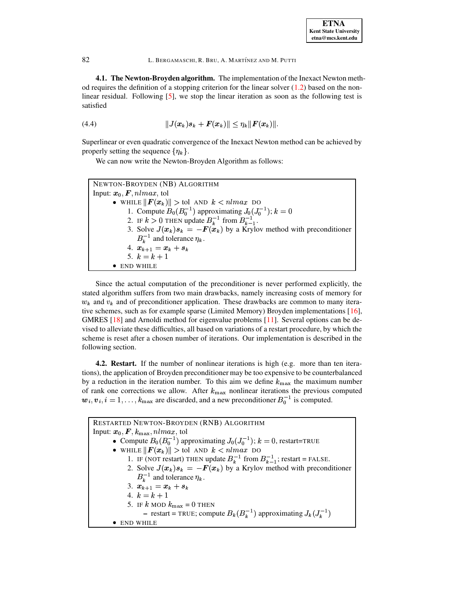**4.1. The Newton-Broyden algorithm.** The implementation of the Inexact Newton method requires the definition of a stopping criterion for the linear solver  $(1.2)$  based on the nonlinear residual. Following [\[5\]](#page-11-0), we stop the linear iteration as soon as the following test is satisfied

<span id="page-6-0"></span>(4.4) 
$$
||J(x_k)s_k + F(x_k)|| \leq \eta_k ||F(x_k)||.
$$

Superlinear or even quadratic convergence of the Inexact Newton method can be achieved by properly setting the sequence  $\{\eta_k\}$ .

We can now write the Newton-Broyden Algorithm as follows:

NEWTON-BROYDEN (NB) ALGORITHM Input:  $\boldsymbol{x}_0, \boldsymbol{F}, \boldsymbol{n} l max, \text{tol}$  $\bullet\,$  while  $\|\boldsymbol{F}(\boldsymbol{x}_k)\|>$  tol and  $k< n l max$  do 1. Compute  $B_0(B_0^{-1})$  approximating  $J_0(J_0^{-1}); k = 0$ 2. IF  $k > 0$  THEN update  $B_k^{-1}$  from  $B_{k-1}^{-1}$ . 3. Solve  $J(x_k) s_k = -F(x_k)$  by a Krylov method with preconditioner  $B_k^{-1}$  and tolerance  $\eta_k$ . 4.  $x_{k+1} = x_k + s_k$ 5.  $k = k + 1$  $\bullet$  END WHILE

Since the actual computation of the preconditioner is never performed explicitly, the stated algorithm suffers from two main drawbacks, namely increasing costs of memory for  $w_k$  and  $v_k$  and of preconditioner application. These drawbacks are common to many iterative schemes, such as for example sparse (Limited Memory) Broyden implementations [\[16\]](#page-11-11), GMRES [\[18\]](#page-11-12) and Arnoldi method for eigenvalue problems [\[11\]](#page-11-13). Several options can be devised to alleviate these difficulties, all based on variations of a restart procedure, by which the scheme is reset after a chosen number of iterations. Our implementation is described in the following section.

**4.2. Restart.** If the number of nonlinear iterations is high (e.g. more than ten iterations), the application of Broyden preconditioner may be too expensive to be counterbalanced by a reduction in the iteration number. To this aim we define  $k_{\text{max}}$  the maximum number of rank one corrections we allow. After  $k_{\text{max}}$  nonlinear iterations the previous computed  $w_i, v_i, i = 1, \ldots, k_{\text{max}}$  are discarded, and a new preconditioner  $B_0^{-1}$  is computed.

RESTARTED NEWTON-BROYDEN (RNB) ALGORITHM Input:  $\boldsymbol{x}_0, \boldsymbol{F}, k_{\max}, nlmax,$  tol • Compute  $B_0(B_0^{-1})$  approximating  $J_0(J_0^{-1})$ ;  $k=0$ , restart=TRUE  $\bullet\,$  while  $\|\boldsymbol{F}(\boldsymbol{x}_k)\|>$  tol and  $k< n l max$  do 1. IF (NOT restart) THEN update  $B_k^{-1}$  from  $B_{k-1}^{-1}$ ; restart = FALSE. 2. Solve  $J(x_k) s_k = -F(x_k)$  by a Krylov method with preconditioner  $B_k^{-1}$  and tolerance  $\eta_k$ . 3.  $x_{k+1} = x_k + s_k$ 4.  $k = k + 1$ 5. IF  $k$  mod  $k_{\text{max}} = 0$  then **–** restart = TRUE; compute  $B_k(B_k^{-1})$  approximating  $J_k(J_k^{-1})$ ½ END WHILE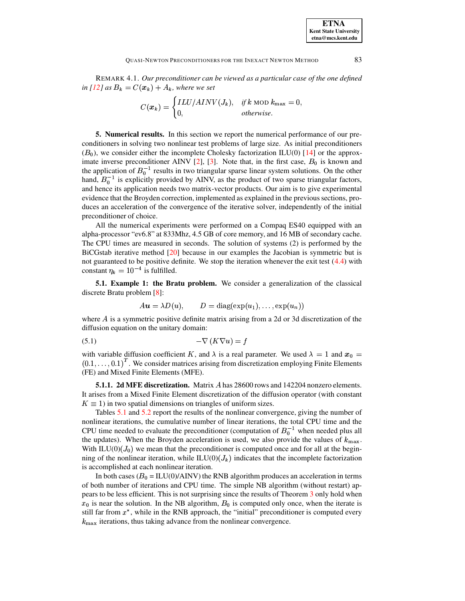REMARK 4.1. Our preconditioner can be viewed as a particular case of the one defined in [12] as  $B_k = C(\mathbf{x}_k) + A_k$ , where we set

$$
C(\boldsymbol{x}_k) = \begin{cases} ILU/AINV(J_k), & if k \text{ MOD } k_{\text{max}} = 0, \\ 0, & otherwise. \end{cases}
$$

5. Numerical results. In this section we report the numerical performance of our preconditioners in solving two nonlinear test problems of large size. As initial preconditioners  $(B_0)$ , we consider either the incomplete Cholesky factorization ILU(0) [14] or the approximate inverse preconditioner AINV [2], [3]. Note that, in the first case,  $B_0$  is known and the application of  $B_0^{-1}$  results in two triangular sparse linear system solutions. On the other hand,  $B_0^{-1}$  is explicitly provided by AINV, as the product of two sparse triangular factors, and hence its application needs two matrix-vector products. Our aim is to give experimental evidence that the Broyden correction, implemented as explained in the previous sections, produces an acceleration of the convergence of the iterative solver, independently of the initial preconditioner of choice.

All the numerical experiments were performed on a Compaq ES40 equipped with an alpha-processor "ev6.8" at 833Mhz, 4.5 GB of core memory, and 16 MB of secondary cache. The CPU times are measured in seconds. The solution of systems (2) is performed by the BiCGstab iterative method  $\lceil 20 \rceil$  because in our examples the Jacobian is symmetric but is not guaranteed to be positive definite. We stop the iteration whenever the exit test  $(4.4)$  with constant  $\eta_k = 10^{-4}$  is fulfilled.

5.1. Example 1: the Bratu problem. We consider a generalization of the classical discrete Bratu problem [8]:

<span id="page-7-0"></span>
$$
Au = \lambda D(u)
$$
,  $D = \text{diag}(\exp(u_1), \dots, \exp(u_n))$ 

where  $A$  is a symmetric positive definite matrix arising from a 2d or 3d discretization of the diffusion equation on the unitary domain:

$$
(5.1)\qquad \qquad -\nabla\left(K\nabla u\right) = f
$$

with variable diffusion coefficient K, and  $\lambda$  is a real parameter. We used  $\lambda = 1$  and  $x_0 =$  $(0.1, \ldots, 0.1)^T$ . We consider matrices arising from discretization employing Finite Elements (FE) and Mixed Finite Elements (MFE).

**5.1.1. 2d MFE discretization.** Matrix A has 28600 rows and 142204 nonzero elements. It arises from a Mixed Finite Element discretization of the diffusion operator (with constant  $K \equiv 1$ ) in two spatial dimensions on triangles of uniform sizes.

Tables 5.1 and 5.2 report the results of the nonlinear convergence, giving the number of nonlinear iterations, the cumulative number of linear iterations, the total CPU time and the CPU time needed to evaluate the preconditioner (computation of  $B_0^{-1}$  when needed plus all the updates). When the Broyden acceleration is used, we also provide the values of  $k_{\text{max}}$ . With ILU(0)( $J_0$ ) we mean that the preconditioner is computed once and for all at the beginning of the nonlinear iteration, while  $\text{ILU}(0)(J_k)$  indicates that the incomplete factorization is accomplished at each nonlinear iteration.

In both cases  $(B_0 = ILU(0)/AINV)$  the RNB algorithm produces an acceleration in terms of both number of iterations and CPU time. The simple NB algorithm (without restart) appears to be less efficient. This is not surprising since the results of Theorem 3 only hold when  $x_0$  is near the solution. In the NB algorithm,  $B_0$  is computed only once, when the iterate is still far from  $x^*$ , while in the RNB approach, the "initial" preconditioner is computed every  $k_{\text{max}}$  iterations, thus taking advance from the nonlinear convergence.

83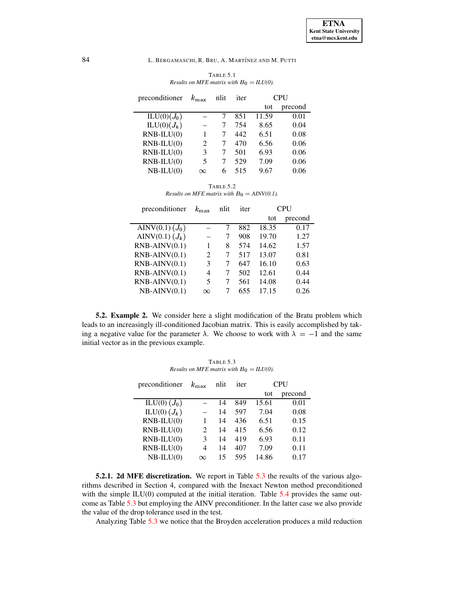| TABLE 5.1                                   |  |
|---------------------------------------------|--|
| Results on MFE matrix with $B_0 = ILU(0)$ . |  |

<span id="page-8-0"></span>

| preconditioner          | $k_{\rm max}$  | nlit | iter | <b>CPU</b> |         |
|-------------------------|----------------|------|------|------------|---------|
|                         |                |      |      | tot        | precond |
| ILU(0)(J <sub>0</sub> ) |                |      | 851  | 11.59      | 0.01    |
| $ILU(0)(J_k)$           |                | 7    | 754  | 8.65       | 0.04    |
| $RNB-ILU(0)$            | 1              | 7    | 442  | 6.51       | 0.08    |
| $RNB-ILU(0)$            | $\mathfrak{D}$ | 7    | 470  | 6.56       | 0.06    |
| $RNB-ILU(0)$            | 3              | 7    | 501  | 6.93       | 0.06    |
| $RNB-ILU(0)$            | 5              |      | 529  | 7.09       | 0.06    |
| $NB-ILU(0)$             | $\infty$       | 6    | 515  | 9.67       | 0.06    |
|                         |                |      |      |            |         |

TABLE 5.2 *Results on MFE matrix with*  $B_0 = \text{AINV}(0.1)$ .

<span id="page-8-1"></span>

| preconditioner       | $k_{\rm max}$ | nlit | iter | CPU   |         |
|----------------------|---------------|------|------|-------|---------|
|                      |               |      |      | tot   | precond |
| AINV(0.1) $(J_0)$    |               |      | 882  | 18.35 | 0.17    |
| AINV $(0.1)$ $(J_k)$ |               |      | 908  | 19.70 | 1.27    |
| $RNB-AINV(0.1)$      | 1             | 8    | 574  | 14.62 | 1.57    |
| $RNB-AINV(0.1)$      | 2             | 7    | 517  | 13.07 | 0.81    |
| $RNB-AINV(0.1)$      | 3             | 7    | 647  | 16.10 | 0.63    |
| $RNB-AINV(0.1)$      | 4             |      | 502  | 12.61 | 0.44    |
| $RNB-AINV(0.1)$      | 5             | 7    | 561  | 14.08 | 0.44    |
| $NB-AINV(0.1)$       | $\infty$      |      | 655  | 17.15 | 0.26    |

**5.2. Example 2.** We consider here a slight modification of the Bratu problem which leads to an increasingly ill-conditioned Jacobian matrix. This is easily accomplished by taking a negative value for the parameter  $\lambda$ . We choose to work with  $\lambda = -1$  and the same initial vector as in the previous example.

TABLE 5.3 *Results on MFE matrix with*  $B_0 = ILU(0)$ .

<span id="page-8-2"></span>

| preconditioner          | $k_{\rm max}$               | nlit | iter | <b>CPU</b> |         |  |
|-------------------------|-----------------------------|------|------|------------|---------|--|
|                         |                             |      |      | tot        | precond |  |
| $\text{ILU}(0)$ $(J_0)$ |                             | 14   | 849  | 15.61      | 0.01    |  |
| ILU(0) $(J_k)$          |                             | 14   | 597  | 7.04       | 0.08    |  |
| $RNB-ILU(0)$            | 1                           | 14   | 436  | 6.51       | 0.15    |  |
| $RNB-ILU(0)$            | $\mathcal{D}_{\mathcal{L}}$ | 14   | 415  | 6.56       | 0.12    |  |
| $RNB-ILU(0)$            | 3                           | 14   | 419  | 6.93       | 0.11    |  |
| $RNB-ILU(0)$            | 4                           | 14   | 407  | 7.09       | 0.11    |  |
| $NB-ILU(0)$             | $\infty$                    | 15   | 595  | 14.86      | 0.17    |  |

**5.2.1. 2d MFE discretization.** We report in Table [5.3](#page-8-2) the results of the various algorithms described in Section 4, compared with the Inexact Newton method preconditioned with the simple  $ILU(0)$  computed at the initial iteration. Table [5.4](#page-9-0) provides the same outcome as Table [5.3](#page-8-2) but employing the AINV preconditioner. In the latter case we also provide the value of the drop tolerance used in the test.

Analyzing Table [5.3](#page-8-2) we notice that the Broyden acceleration produces a mild reduction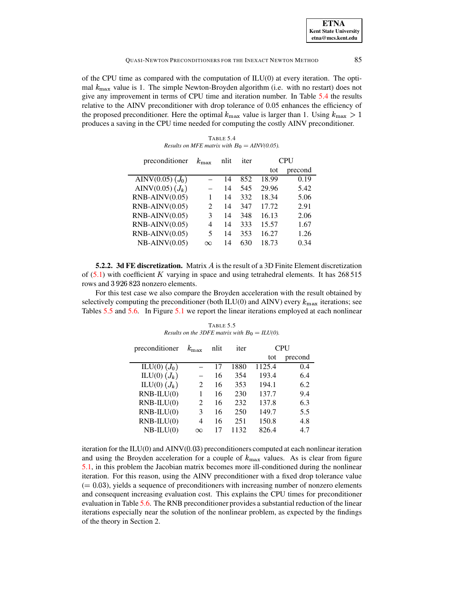#### **OUASI-NEWTON PRECONDITIONERS FOR THE INEXACT NEWTON METHOD**

of the CPU time as compared with the computation of ILU(0) at every iteration. The optimal  $k_{\text{max}}$  value is 1. The simple Newton-Broyden algorithm (i.e. with no restart) does not give any improvement in terms of CPU time and iteration number. In Table 5.4 the results relative to the AINV preconditioner with drop tolerance of 0.05 enhances the efficiency of the proposed preconditioner. Here the optimal  $k_{\text{max}}$  value is larger than 1. Using  $k_{\text{max}} > 1$ produces a saving in the CPU time needed for computing the costly AINV preconditioner.

TABLE 5.4 Results on MFE matrix with  $B_0 = \text{AINV}(0.05)$ .

<span id="page-9-0"></span>

| preconditioner     | $k_{\rm max}$               | nlit | iter | <b>CPU</b> |         |
|--------------------|-----------------------------|------|------|------------|---------|
|                    |                             |      |      | tot        | precond |
| AINV(0.05) $(J_0)$ |                             | 14   | 852  | 18.99      | 0.19    |
| AINV(0.05) $(J_k)$ |                             | 14   | 545  | 29.96      | 5.42    |
| $RNB-AINV(0.05)$   | 1                           | 14   | 332  | 18.34      | 5.06    |
| $RNB-AINV(0.05)$   | $\mathcal{D}_{\mathcal{L}}$ | 14   | 347  | 17.72      | 2.91    |
| $RNB-AINV(0.05)$   | 3                           | 14   | 348  | 16.13      | 2.06    |
| $RNB-AINV(0.05)$   | 4                           | 14   | 333  | 15.57      | 1.67    |
| $RNB-AINV(0.05)$   | 5                           | 14   | 353  | 16.27      | 1.26    |
| $NB-AINV(0.05)$    | $\infty$                    | 14   | 630  | 18.73      | 0.34    |

**5.2.2. 3d FE discretization.** Matrix A is the result of a 3D Finite Element discretization of  $(5.1)$  with coefficient K varying in space and using tetrahedral elements. It has 268 515 rows and 3926823 nonzero elements.

For this test case we also compare the Broyden acceleration with the result obtained by selectively computing the preconditioner (both ILU(0) and AINV) every  $k_{\text{max}}$  iterations; see Tables 5.5 and 5.6. In Figure 5.1 we report the linear iterations employed at each nonlinear

<span id="page-9-1"></span>TABLE 5.5 Results on the 3DFE matrix with  $B_0 = ILU(0)$ . preconditioner  $k_{\text{max}}$ **CPU** nlit iter

|                |                             |    |      | tot    | precond |
|----------------|-----------------------------|----|------|--------|---------|
| ILU(0) $(J_0)$ |                             | 17 | 1880 | 1125.4 | 0.4     |
| ILU(0) $(J_k)$ |                             | 16 | 354  | 193.4  | 6.4     |
| ILU(0) $(J_k)$ | 2                           | 16 | 353  | 194.1  | 6.2     |
| $RNB-ILU(0)$   |                             | 16 | 230  | 137.7  | 9.4     |
| $RNB-ILU(0)$   | $\mathcal{D}_{\mathcal{L}}$ | 16 | 232  | 137.8  | 6.3     |
| $RNB-ILU(0)$   | 3                           | 16 | 250  | 149.7  | 5.5     |
| $RNB-LU(0)$    | 4                           | 16 | 251  | 150.8  | 4.8     |
| $NB-ILU(0)$    | $\infty$                    | 17 | 1132 | 826.4  | 4.7     |
|                |                             |    |      |        |         |

iteration for the  $ILU(0)$  and  $AINV(0.03)$  preconditioners computed at each nonlinear iteration and using the Broyden acceleration for a couple of  $k_{\text{max}}$  values. As is clear from figure 5.1, in this problem the Jacobian matrix becomes more ill-conditioned during the nonlinear iteration. For this reason, using the AINV preconditioner with a fixed drop tolerance value  $(= 0.03)$ , yields a sequence of preconditioners with increasing number of nonzero elements and consequent increasing evaluation cost. This explains the CPU times for preconditioner evaluation in Table 5.6. The RNB preconditioner provides a substantial reduction of the linear iterations especially near the solution of the nonlinear problem, as expected by the findings of the theory in Section 2.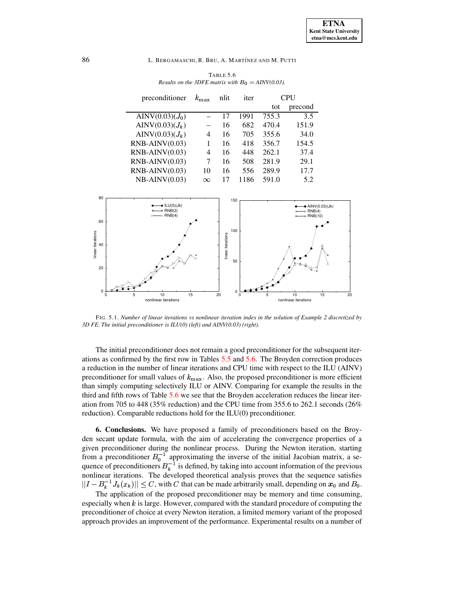

<span id="page-10-0"></span>TABLE 5.6 *Results on the 3DFE matrix with*  $B_0 = \text{AINV}(0.03)$ .

<span id="page-10-1"></span>FIG. 5.1. *Number of linear iterations vs nonlinear iteration index in the solution of Example 2 discretized by 3D FE. The initial preconditioner is ILU(0) (left) and AINV(0.03) (right).*

The initial preconditioner does not remain a good preconditioner for the subsequent iterations as confirmed by the first row in Tables [5.5](#page-9-1) and [5.6.](#page-10-0) The Broyden correction produces a reduction in the number of linear iterations and CPU time with respect to the ILU (AINV) preconditioner for small values of  $k_{\text{max}}$ . Also, the proposed preconditioner is more efficient than simply computing selectively ILU or AINV. Comparing for example the results in the third and fifth rows of Table [5.6](#page-10-0) we see that the Broyden acceleration reduces the linear iteration from 705 to 448 (35% reduction) and the CPU time from 355.6 to 262.1 seconds (26% reduction). Comparable reductions hold for the ILU(0) preconditioner.

**6. Conclusions.** We have proposed a family of preconditioners based on the Broyden secant update formula, with the aim of accelerating the convergence properties of a given preconditioner during the nonlinear process. During the Newton iteration, starting from a preconditioner  $B_0^{-1}$  approximating the inverse of the initial Jacobian matrix, a sequence of preconditioners  $B_k^{-1}$  is defined, by taking into account information of the previous nonlinear iterations. The developed theoretical analysis proves that the sequence satisfies  $||I - B_k^{-1} J_k(x_k)|| \leq C$ , with C that can be made arbitrarily small, depending on  $x_0$  and  $B_0$ .

The application of the proposed preconditioner may be memory and time consuming, especially when  $k$  is large. However, compared with the standard procedure of computing the preconditioner of choice at every Newton iteration, a limited memory variant of the proposed approach provides an improvement of the performance. Experimental results on a number of